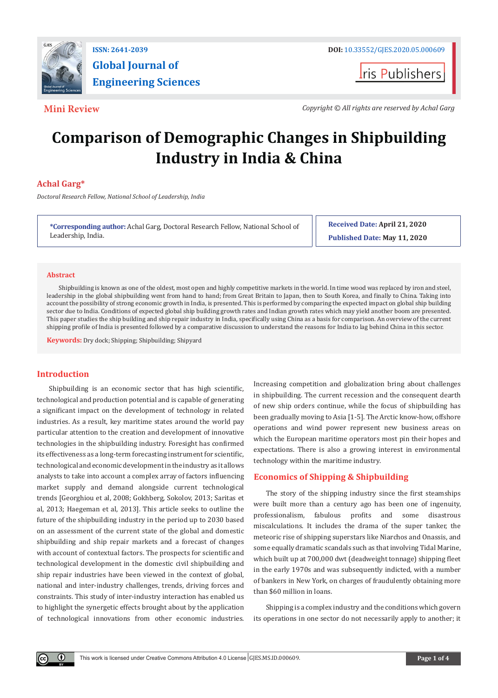

# **Global Journal of Engineering Sciences**

**ISSN: 2641-2039 DOI:** [10.33552/GJES.2020.05.000609](http://dx.doi.org/10.33552/GJES.2020.05.000609)

**I**ris Publishers

**Mini Review** *Copyright © All rights are reserved by Achal Garg*

## **Comparison of Demographic Changes in Shipbuilding Industry in India & China**

### **Achal Garg\***

*Doctoral Research Fellow, National School of Leadership, India*

**\*Corresponding author:** Achal Garg, Doctoral Research Fellow, National School of Leadership, India.

**Received Date: April 21, 2020 Published Date: May 11, 2020**

#### **Abstract**

Shipbuilding is known as one of the oldest, most open and highly competitive markets in the world. In time wood was replaced by iron and steel, leadership in the global shipbuilding went from hand to hand; from Great Britain to Japan, then to South Korea, and finally to China. Taking into account the possibility of strong economic growth in India, is presented. This is performed by comparing the expected impact on global ship building sector due to India. Conditions of expected global ship building growth rates and Indian growth rates which may yield another boom are presented. This paper studies the ship building and ship repair industry in India, specifically using China as a basis for comparison. An overview of the current shipping profile of India is presented followed by a comparative discussion to understand the reasons for India to lag behind China in this sector.

**Keywords:** Dry dock; Shipping; Shipbuilding; Shipyard

#### **Introduction**

 $\left( \cdot \right)$ 

Shipbuilding is an economic sector that has high scientific, technological and production potential and is capable of generating a significant impact on the development of technology in related industries. As a result, key maritime states around the world pay particular attention to the creation and development of innovative technologies in the shipbuilding industry. Foresight has confirmed its effectiveness as a long-term forecasting instrument for scientific, technological and economic development in the industry as it allows analysts to take into account a complex array of factors influencing market supply and demand alongside current technological trends [Georghiou et al, 2008; Gokhberg, Sokolov, 2013; Saritas et al, 2013; Haegeman et al, 2013]. This article seeks to outline the future of the shipbuilding industry in the period up to 2030 based on an assessment of the current state of the global and domestic shipbuilding and ship repair markets and a forecast of changes with account of contextual factors. The prospects for scientific and technological development in the domestic civil shipbuilding and ship repair industries have been viewed in the context of global, national and inter-industry challenges, trends, driving forces and constraints. This study of inter-industry interaction has enabled us to highlight the synergetic effects brought about by the application of technological innovations from other economic industries. Increasing competition and globalization bring about challenges in shipbuilding. The current recession and the consequent dearth of new ship orders continue, while the focus of shipbuilding has been gradually moving to Asia [1-5]. The Arctic know-how, offshore operations and wind power represent new business areas on which the European maritime operators most pin their hopes and expectations. There is also a growing interest in environmental technology within the maritime industry.

#### **Economics of Shipping & Shipbuilding**

The story of the shipping industry since the first steamships were built more than a century ago has been one of ingenuity, professionalism, fabulous profits and some disastrous miscalculations. It includes the drama of the super tanker, the meteoric rise of shipping superstars like Niarchos and Onassis, and some equally dramatic scandals such as that involving Tidal Marine, which built up at 700,000 dwt (deadweight tonnage) shipping fleet in the early 1970s and was subsequently indicted, with a number of bankers in New York, on charges of fraudulently obtaining more than \$60 million in loans.

Shipping is a complex industry and the conditions which govern its operations in one sector do not necessarily apply to another; it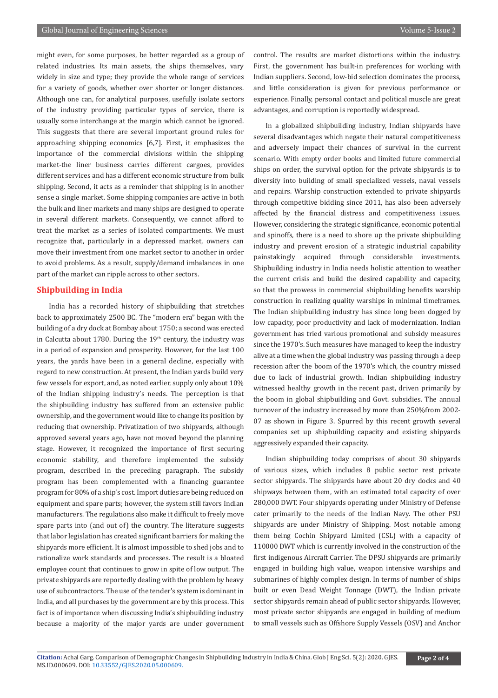might even, for some purposes, be better regarded as a group of related industries. Its main assets, the ships themselves, vary widely in size and type; they provide the whole range of services for a variety of goods, whether over shorter or longer distances. Although one can, for analytical purposes, usefully isolate sectors of the industry providing particular types of service, there is usually some interchange at the margin which cannot be ignored. This suggests that there are several important ground rules for approaching shipping economics [6,7]. First, it emphasizes the importance of the commercial divisions within the shipping market-the liner business carries different cargoes, provides different services and has a different economic structure from bulk shipping. Second, it acts as a reminder that shipping is in another sense a single market. Some shipping companies are active in both the bulk and liner markets and many ships are designed to operate in several different markets. Consequently, we cannot afford to treat the market as a series of isolated compartments. We must recognize that, particularly in a depressed market, owners can move their investment from one market sector to another in order to avoid problems. As a result, supply/demand imbalances in one part of the market can ripple across to other sectors.

#### **Shipbuilding in India**

India has a recorded history of shipbuilding that stretches back to approximately 2500 BC. The "modern era" began with the building of a dry dock at Bombay about 1750; a second was erected in Calcutta about 1780. During the  $19<sup>th</sup>$  century, the industry was in a period of expansion and prosperity. However, for the last 100 years, the yards have been in a general decline, especially with regard to new construction. At present, the Indian yards build very few vessels for export, and, as noted earlier, supply only about 10% of the Indian shipping industry's needs. The perception is that the shipbuilding industry has suffered from an extensive public ownership, and the government would like to change its position by reducing that ownership. Privatization of two shipyards, although approved several years ago, have not moved beyond the planning stage. However, it recognized the importance of first securing economic stability, and therefore implemented the subsidy program, described in the preceding paragraph. The subsidy program has been complemented with a financing guarantee program for 80% of a ship's cost. Import duties are being reduced on equipment and spare parts; however, the system still favors Indian manufacturers. The regulations also make it difficult to freely move spare parts into (and out of) the country. The literature suggests that labor legislation has created significant barriers for making the shipyards more efficient. It is almost impossible to shed jobs and to rationalize work standards and processes. The result is a bloated employee count that continues to grow in spite of low output. The private shipyards are reportedly dealing with the problem by heavy use of subcontractors. The use of the tender's system is dominant in India, and all purchases by the government are by this process. This fact is of importance when discussing India's shipbuilding industry because a majority of the major yards are under government control. The results are market distortions within the industry. First, the government has built-in preferences for working with Indian suppliers. Second, low-bid selection dominates the process, and little consideration is given for previous performance or experience. Finally, personal contact and political muscle are great advantages, and corruption is reportedly widespread.

In a globalized shipbuilding industry, Indian shipyards have several disadvantages which negate their natural competitiveness and adversely impact their chances of survival in the current scenario. With empty order books and limited future commercial ships on order, the survival option for the private shipyards is to diversify into building of small specialized vessels, naval vessels and repairs. Warship construction extended to private shipyards through competitive bidding since 2011, has also been adversely affected by the financial distress and competitiveness issues. However, considering the strategic significance, economic potential and spinoffs, there is a need to shore up the private shipbuilding industry and prevent erosion of a strategic industrial capability painstakingly acquired through considerable investments. Shipbuilding industry in India needs holistic attention to weather the current crisis and build the desired capability and capacity, so that the prowess in commercial shipbuilding benefits warship construction in realizing quality warships in minimal timeframes. The Indian shipbuilding industry has since long been dogged by low capacity, poor productivity and lack of modernization. Indian government has tried various promotional and subsidy measures since the 1970's. Such measures have managed to keep the industry alive at a time when the global industry was passing through a deep recession after the boom of the 1970's which, the country missed due to lack of industrial growth. Indian shipbuilding industry witnessed healthy growth in the recent past, driven primarily by the boom in global shipbuilding and Govt. subsidies. The annual turnover of the industry increased by more than 250%from 2002- 07 as shown in Figure 3. Spurred by this recent growth several companies set up shipbuilding capacity and existing shipyards aggressively expanded their capacity.

Indian shipbuilding today comprises of about 30 shipyards of various sizes, which includes 8 public sector rest private sector shipyards. The shipyards have about 20 dry docks and 40 shipways between them, with an estimated total capacity of over 280,000 DWT. Four shipyards operating under Ministry of Defense cater primarily to the needs of the Indian Navy. The other PSU shipyards are under Ministry of Shipping. Most notable among them being Cochin Shipyard Limited (CSL) with a capacity of 110000 DWT which is currently involved in the construction of the first indigenous Aircraft Carrier. The DPSU shipyards are primarily engaged in building high value, weapon intensive warships and submarines of highly complex design. In terms of number of ships built or even Dead Weight Tonnage (DWT), the Indian private sector shipyards remain ahead of public sector shipyards. However, most private sector shipyards are engaged in building of medium to small vessels such as Offshore Supply Vessels (OSV) and Anchor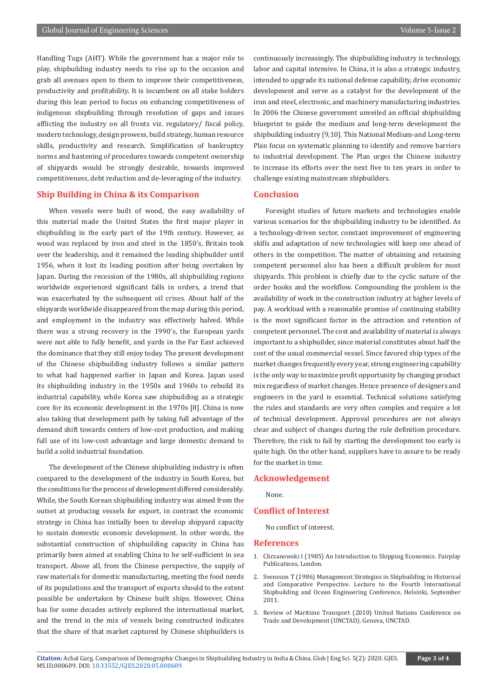Handling Tugs (AHT). While the government has a major role to play, shipbuilding industry needs to rise up to the occasion and grab all avenues open to them to improve their competitiveness, productivity and profitability. It is incumbent on all stake holders during this lean period to focus on enhancing competitiveness of indigenous shipbuilding through resolution of gaps and issues afflicting the industry on all fronts viz. regulatory/ fiscal policy, modern technology, design prowess, build strategy, human resource skills, productivity and research. Simplification of bankruptcy norms and hastening of procedures towards competent ownership of shipyards would be strongly desirable, towards improved competitiveness, debt reduction and de-leveraging of the industry.

#### **Ship Building in China & its Comparison**

When vessels were built of wood, the easy availability of this material made the United States the first major player in shipbuilding in the early part of the 19th century. However, as wood was replaced by iron and steel in the 1850's, Britain took over the leadership, and it remained the leading shipbuilder until 1956, when it lost its leading position after being overtaken by Japan. During the recession of the 1980s, all shipbuilding regions worldwide experienced significant falls in orders, a trend that was exacerbated by the subsequent oil crises. About half of the shipyards worldwide disappeared from the map during this period, and employment in the industry was effectively halved. While there was a strong recovery in the 1990´s, the European yards were not able to fully benefit, and yards in the Far East achieved the dominance that they still enjoy today. The present development of the Chinese shipbuilding industry follows a similar pattern to what had happened earlier in Japan and Korea. Japan used its shipbuilding industry in the 1950s and 1960s to rebuild its industrial capability, while Korea saw shipbuilding as a strategic core for its economic development in the 1970s [8]. China is now also taking that development path by taking full advantage of the demand shift towards centers of low-cost production, and making full use of its low-cost advantage and large domestic demand to build a solid industrial foundation.

The development of the Chinese shipbuilding industry is often compared to the development of the industry in South Korea, but the conditions for the process of development differed considerably. While, the South Korean shipbuilding industry was aimed from the outset at producing vessels for export, in contrast the economic strategy in China has initially been to develop shipyard capacity to sustain domestic economic development. In other words, the substantial construction of shipbuilding capacity in China has primarily been aimed at enabling China to be self-sufficient in sea transport. Above all, from the Chinese perspective, the supply of raw materials for domestic manufacturing, meeting the food needs of its populations and the transport of exports should to the extent possible be undertaken by Chinese built ships. However, China has for some decades actively explored the international market, and the trend in the mix of vessels being constructed indicates that the share of that market captured by Chinese shipbuilders is

continuously increasingly. The shipbuilding industry is technology, labor and capital intensive. In China, it is also a strategic industry, intended to upgrade its national defense capability, drive economic development and serve as a catalyst for the development of the iron and steel, electronic, and machinery manufacturing industries. In 2006 the Chinese government unveiled an official shipbuilding blueprint to guide the medium and long-term development the shipbuilding industry [9,10]. This National Medium-and Long-term Plan focus on systematic planning to identify and remove barriers to industrial development. The Plan urges the Chinese industry to increase its efforts over the next five to ten years in order to challenge existing mainstream shipbuilders.

#### **Conclusion**

Foresight studies of future markets and technologies enable various scenarios for the shipbuilding industry to be identified. As a technology-driven sector, constant improvement of engineering skills and adaptation of new technologies will keep one ahead of others in the competition. The matter of obtaining and retaining competent personnel also has been a difficult problem for most shipyards. This problem is chiefly due to the cyclic nature of the order books and the workflow. Compounding the problem is the availability of work in the construction industry at higher levels of pay. A workload with a reasonable promise of continuing stability is the most significant factor in the attraction and retention of competent personnel. The cost and availability of material is always important to a shipbuilder, since material constitutes about half the cost of the usual commercial vessel. Since favored ship types of the market changes frequently every year, strong engineering capability is the only way to maximize profit opportunity by changing product mix regardless of market changes. Hence presence of designers and engineers in the yard is essential. Technical solutions satisfying the rules and standards are very often complex and require a lot of technical development. Approval procedures are not always clear and subject of changes during the rule definition procedure. Therefore, the risk to fail by starting the development too early is quite high. On the other hand, suppliers have to assure to be ready for the market in time.

#### **Acknowledgement**

None.

#### **Conflict of Interest**

No conflict of interest.

#### **References**

- 1. Chrzanowski I (1985) An Introduction to Shipping Economics. Fairplay Publications, London.
- 2. Svensson T (1986) Management Strategies in Shipbuilding in Historical and Comparative Perspective. Lecture to the Fourth International Shipbuilding and Ocean Engineering Conference, Helsinki, September 2011.
- 3. Review of Maritime Transport (2010) United Nations Conference on Trade and Development (UNCTAD). Geneva, UNCTAD.